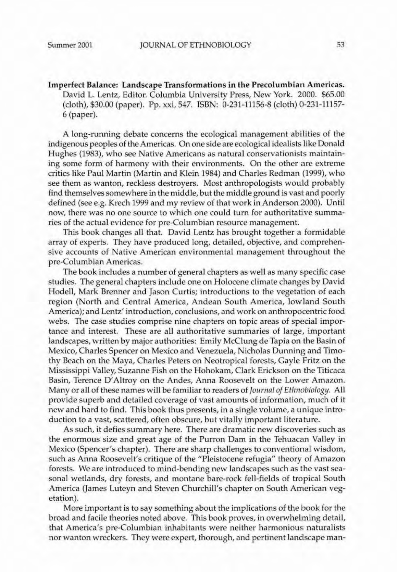Imperfect Balance: Landscape Transformations in the Precolumbian Americas. David L. Lentz, Editor. Columbia University Press, New York. 2000. \$65.00 (cloth), \$30.00 (paper). Pp. xxi, 547. ISBN: 0-231-11156-8 (cloth) 0-231-11157- 6 (paper).

A long-running debate concerns the ecological management abilities of the indigenous peoples of the Americas. On oneside are ecological idealists like Donald Hughes (1983), who see Native Americans as natural conservationists maintaining some form of harmony with their environments. On the other are extreme critics like Paul Martin (Martin and Klein 1984) and Charles Redman (1999), who see them as wanton, reckless destroyers. Most anthropologists would probably find themselves somewhere in the middle, but the middle ground is vast and poorly defined (see e.g. Krech 1999 and my review of that work in Anderson 2000). Until now, there was no one source to which one could turn for authoritative summaries of the actual evidence for pre-Columbian resource management.

This book changes all that. David Lentz has brought together a formidable array of experts. They have produced long, detailed, objective, and comprehensive accounts of Native American environmental management throughout the pre-Columbian Americas.

The book includes a number of general chapters as well as many specific case studies. The general chapters include one on Holocene climate changes by David Hodell, Mark Brenner and Jason Curtis; introductions to the vegetation of each region (North and Central America, Andean South America, lowland South America); and Lentz' introduction, conclusions, and work on anthropocentric food webs. The case studies comprise nine chapters on topic areas of special importance and interest. These are aU authoritative summaries of large, important landscapes, written by major authorities: Emily McClung de Tapia on the Basin of Mexico, Charles Spencer on Mexico and Venezuela, Nicholas Dunning and Timo~ thy Beach on the Maya, Charles Peters on Neotropical forests, Gayle Fritz on the Mississippi Valley, Suzanne Fish on the Hohokam, Clark Erickson on the Titicaca Basin, Terence D'Altroy on the Andes, Anna Roosevelt on the Lower Amazon. Many or all of these names will be familiar to readers of *Journal of Ethnobiology*. All provide superb and detailed coverage of vast amounts of information, much of it new and hard to find. This book thus presents, in a single volume, a unique introduction to a vast, scattered, often obscure, but vitally important literature.

As such, it defies summary here. There are dramatic new discoveries such as the enormous size and great age of the Purron Dam in the Tehuacan *Valley* in Mexico (Spencer's chapter). There are sharp challenges to conventional wisdom, such as Anna Roosevelt's critique of the "Pleistocene refugia" theory of Amazon forests. We are introduced to mind-bending new landscapes such as the vast seasonal wetlands, dry forests, and montane bare-rock fell-fields of tropical South America Games Luteyn and Steven Churchill's chapter on South American vegetation).

More important is to say something about the implications of the book for the broad and facile theories noted above. This book proves, in overwhelming detail, that America's pre-Columbian inhabitants were neither harmonious naturalists nor wanton wreckers. They were expert, thorough, and pertinent landscape man-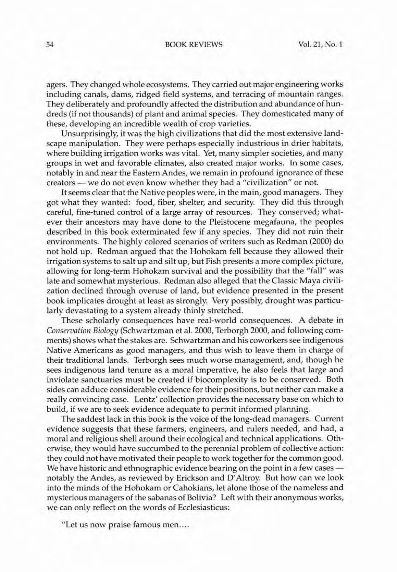## 54 BOOK REVIEWS Vol. 21, No. I

agers. They changed whole ecosystems. They carried out major engineering works including canals, dams, ridged field systems, and terracing of mountain ranges. They deliberately and profoundly affected the distribution and abundance of hundreds (if not thousands) of plant and animal species. They domesticated many of these, developing an incredible wealth of crop varieties.

Unsurprisingly. it was the high civilizations that did the most extensive landscape manipulation. They were perhaps especially industrious in drier habitats, where building irrigation works was vital. Yet, many simpler societies, and many groups in wet and favorable climates, also created major works. In some cases, notably in and near the Eastern Andes, we remain in profound ignorance of these creators - we do not even know whether they had a "civilization" or not.

It seems clear that the Native peoples were, in the main, good managers. They got what they wanted: food, fiber, shelter, and security. They did this through careful, fine-tuned control of a large array of resources. They conserved; whatever their ancestors may have done to the Pleistocene megafauna, the peoples described in this book exterminated few if any species. They did not ruin their environments. The highly colored scenarios of writers such as Redman (2000) do not hold up. Redman argued that the Hohokam fell because they allowed their irrigation systems to salt up and silt up, but Fish presents a more complex picture, allowing for long-term Hohokam survival and the possibility that the "fall" was late and somewhat mysterious. Redman also alleged that the Classic Maya civilization declined through overuse of land, but evidence presented in the present book implicates drought at least as strongly. Very possibly, drought was particularly devastating to a system already thinly stretched.

These scholarly consequences have real-world consequences. A debate in *Conservation Biology* (Schwartzman et al. 2000, Terborgh 2000, and following comments) shows what the stakes are. Schwartzman and his coworkerssee indigenous Native Americans as good managers, and thus wish to leave them in charge of their traditional lands. Terborgh sees much worse management, and, though he sees indigenous land tenure as a moral imperative, he also feels that large and inviolate sanctuaries must be created if biocomplexity is to be conserved. Both sides can adduce considerable evidence for their positions, but neither can make a really convincing case. Lentz' collection provides the necessary base on which to build, if we are to seek evidence adequate to permit informed planning.

The saddest lack in this book is the voice of the long-dead managers. Current evidence suggests that these farmers, engineers, and rulers needed, and had, a moral and religious shell around their ecological and technical applications. Otherwise, they would have succumbed to the perennial problem of collective action: they could not have motivated their people to work together for the common good. We have historic and ethnographic evidence bearing on the point in a few cases  $$ notably the Andes, as reviewed by Erickson and 0'Altroy. But how can we look into the minds of the Hohokam or Cahokians, let alone those of the nameless and mysterious managers of the sabanas of Bolivia? Left with their anonymous works, we can only reflect on the words of Ecclesiasticus:

"Let us now praise famous men....